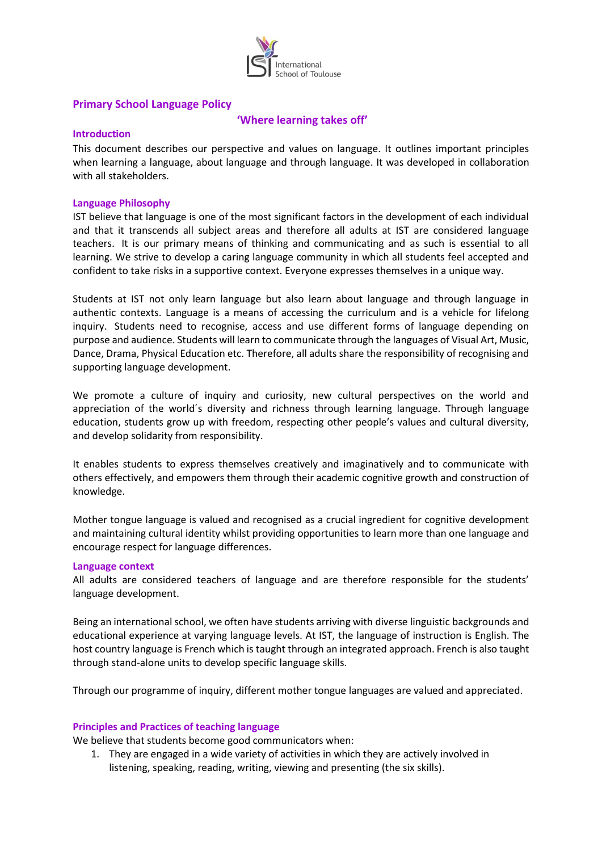

# **Primary School Language Policy**

# **'Where learning takes off'**

#### **Introduction**

This document describes our perspective and values on language. It outlines important principles when learning a language, about language and through language. It was developed in collaboration with all stakeholders.

#### **Language Philosophy**

IST believe that language is one of the most significant factors in the development of each individual and that it transcends all subject areas and therefore all adults at IST are considered language teachers. It is our primary means of thinking and communicating and as such is essential to all learning. We strive to develop a caring language community in which all students feel accepted and confident to take risks in a supportive context. Everyone expresses themselves in a unique way.

Students at IST not only learn language but also learn about language and through language in authentic contexts. Language is a means of accessing the curriculum and is a vehicle for lifelong inquiry. Students need to recognise, access and use different forms of language depending on purpose and audience. Students will learn to communicate through the languages of Visual Art, Music, Dance, Drama, Physical Education etc. Therefore, all adults share the responsibility of recognising and supporting language development.

We promote a culture of inquiry and curiosity, new cultural perspectives on the world and appreciation of the world´s diversity and richness through learning language. Through language education, students grow up with freedom, respecting other people's values and cultural diversity, and develop solidarity from responsibility.

It enables students to express themselves creatively and imaginatively and to communicate with others effectively, and empowers them through their academic cognitive growth and construction of knowledge.

Mother tongue language is valued and recognised as a crucial ingredient for cognitive development and maintaining cultural identity whilst providing opportunities to learn more than one language and encourage respect for language differences.

#### **Language context**

All adults are considered teachers of language and are therefore responsible for the students' language development.

Being an international school, we often have students arriving with diverse linguistic backgrounds and educational experience at varying language levels. At IST, the language of instruction is English. The host country language is French which is taught through an integrated approach. French is also taught through stand-alone units to develop specific language skills.

Through our programme of inquiry, different mother tongue languages are valued and appreciated.

## **Principles and Practices of teaching language**

We believe that students become good communicators when:

1. They are engaged in a wide variety of activities in which they are actively involved in listening, speaking, reading, writing, viewing and presenting (the six skills).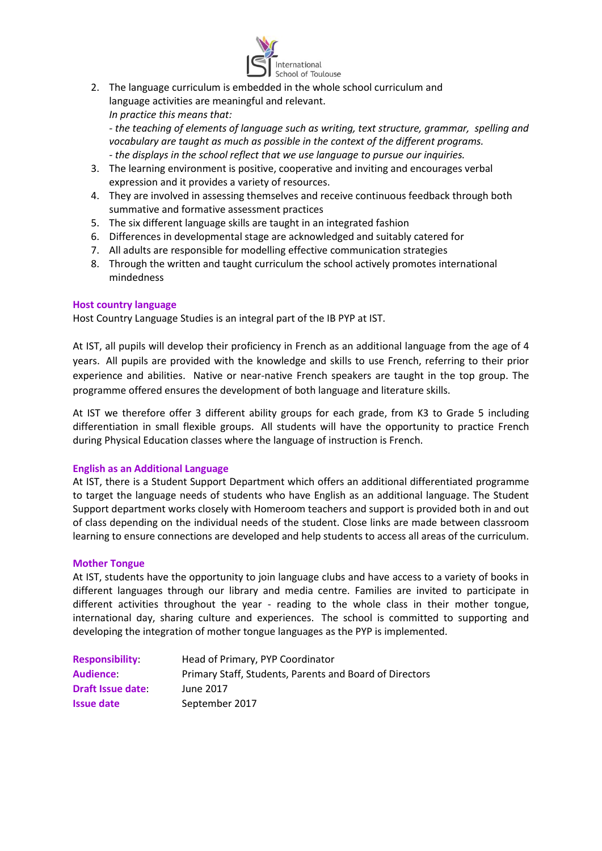

2. The language curriculum is embedded in the whole school curriculum and language activities are meaningful and relevant. *In practice this means that:*

*- the teaching of elements of language such as writing, text structure, grammar, spelling and vocabulary are taught as much as possible in the context of the different programs. - the displays in the school reflect that we use language to pursue our inquiries.*

- 3. The learning environment is positive, cooperative and inviting and encourages verbal expression and it provides a variety of resources.
- 4. They are involved in assessing themselves and receive continuous feedback through both summative and formative assessment practices
- 5. The six different language skills are taught in an integrated fashion
- 6. Differences in developmental stage are acknowledged and suitably catered for
- 7. All adults are responsible for modelling effective communication strategies
- 8. Through the written and taught curriculum the school actively promotes international mindedness

#### **Host country language**

Host Country Language Studies is an integral part of the IB PYP at IST.

At IST, all pupils will develop their proficiency in French as an additional language from the age of 4 years. All pupils are provided with the knowledge and skills to use French, referring to their prior experience and abilities. Native or near-native French speakers are taught in the top group. The programme offered ensures the development of both language and literature skills.

At IST we therefore offer 3 different ability groups for each grade, from K3 to Grade 5 including differentiation in small flexible groups. All students will have the opportunity to practice French during Physical Education classes where the language of instruction is French.

## **English as an Additional Language**

At IST, there is a Student Support Department which offers an additional differentiated programme to target the language needs of students who have English as an additional language. The Student Support department works closely with Homeroom teachers and support is provided both in and out of class depending on the individual needs of the student. Close links are made between classroom learning to ensure connections are developed and help students to access all areas of the curriculum.

## **Mother Tongue**

At IST, students have the opportunity to join language clubs and have access to a variety of books in different languages through our library and media centre. Families are invited to participate in different activities throughout the year - reading to the whole class in their mother tongue, international day, sharing culture and experiences. The school is committed to supporting and developing the integration of mother tongue languages as the PYP is implemented.

| <b>Responsibility</b>   | Head of Primary, PYP Coordinator                        |
|-------------------------|---------------------------------------------------------|
| <b>Audience</b>         | Primary Staff, Students, Parents and Board of Directors |
| <b>Draft Issue date</b> | June 2017                                               |
| <b>Issue date</b>       | September 2017                                          |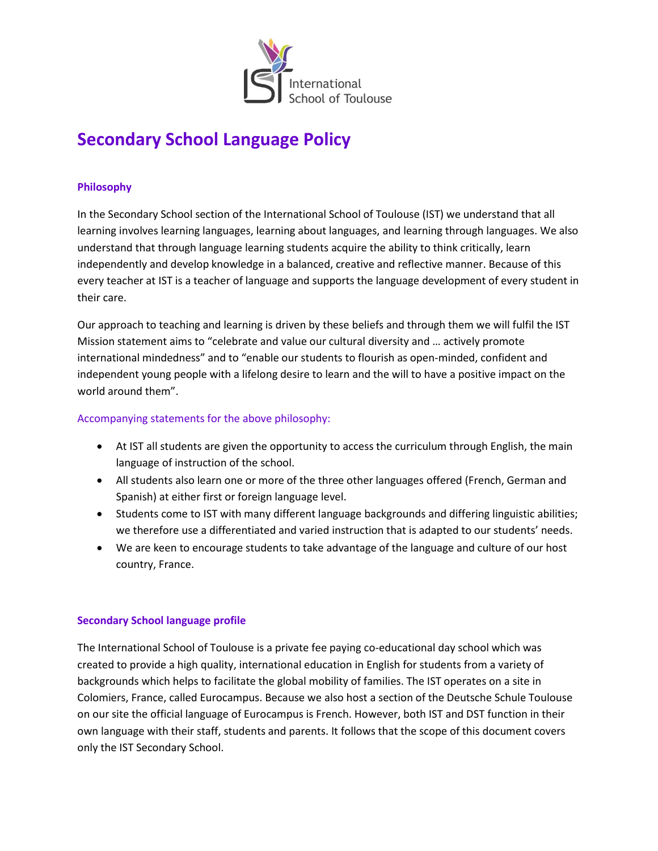

# **Secondary School Language Policy**

# **Philosophy**

In the Secondary School section of the International School of Toulouse (IST) we understand that all learning involves learning languages, learning about languages, and learning through languages. We also understand that through language learning students acquire the ability to think critically, learn independently and develop knowledge in a balanced, creative and reflective manner. Because of this every teacher at IST is a teacher of language and supports the language development of every student in their care.

Our approach to teaching and learning is driven by these beliefs and through them we will fulfil the IST Mission statement aims to "celebrate and value our cultural diversity and … actively promote international mindedness" and to "enable our students to flourish as open-minded, confident and independent young people with a lifelong desire to learn and the will to have a positive impact on the world around them".

## Accompanying statements for the above philosophy:

- At IST all students are given the opportunity to access the curriculum through English, the main language of instruction of the school.
- All students also learn one or more of the three other languages offered (French, German and Spanish) at either first or foreign language level.
- Students come to IST with many different language backgrounds and differing linguistic abilities; we therefore use a differentiated and varied instruction that is adapted to our students' needs.
- We are keen to encourage students to take advantage of the language and culture of our host country, France.

## **Secondary School language profile**

The International School of Toulouse is a private fee paying co-educational day school which was created to provide a high quality, international education in English for students from a variety of backgrounds which helps to facilitate the global mobility of families. The IST operates on a site in Colomiers, France, called Eurocampus. Because we also host a section of the Deutsche Schule Toulouse on our site the official language of Eurocampus is French. However, both IST and DST function in their own language with their staff, students and parents. It follows that the scope of this document covers only the IST Secondary School.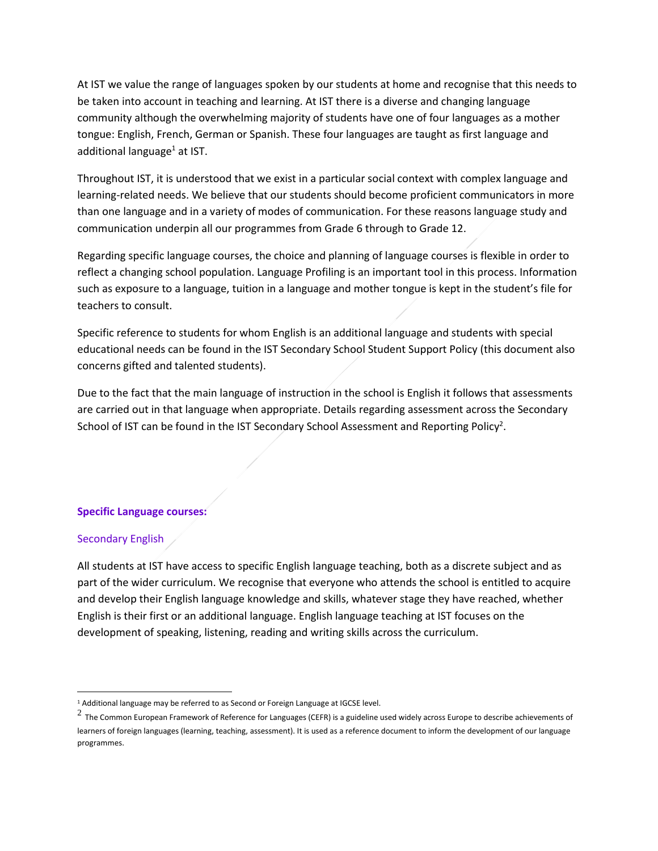At IST we value the range of languages spoken by our students at home and recognise that this needs to be taken into account in teaching and learning. At IST there is a diverse and changing language community although the overwhelming majority of students have one of four languages as a mother tongue: English, French, German or Spanish. These four languages are taught as first language and additional language $1$  at IST.

Throughout IST, it is understood that we exist in a particular social context with complex language and learning-related needs. We believe that our students should become proficient communicators in more than one language and in a variety of modes of communication. For these reasons language study and communication underpin all our programmes from Grade 6 through to Grade 12.

Regarding specific language courses, the choice and planning of language courses is flexible in order to reflect a changing school population. Language Profiling is an important tool in this process. Information such as exposure to a language, tuition in a language and mother tongue is kept in the student's file for teachers to consult.

Specific reference to students for whom English is an additional language and students with special educational needs can be found in the IST Secondary School Student Support Policy (this document also concerns gifted and talented students).

Due to the fact that the main language of instruction in the school is English it follows that assessments are carried out in that language when appropriate. Details regarding assessment across the Secondary School of IST can be found in the IST Secondary School Assessment and Reporting Policy<sup>2</sup>.

## **Specific Language courses:**

## Secondary English

All students at IST have access to specific English language teaching, both as a discrete subject and as part of the wider curriculum. We recognise that everyone who attends the school is entitled to acquire and develop their English language knowledge and skills, whatever stage they have reached, whether English is their first or an additional language. English language teaching at IST focuses on the development of speaking, listening, reading and writing skills across the curriculum.

 $\overline{a}$ <sup>1</sup> Additional language may be referred to as Second or Foreign Language at IGCSE level.

 $^2$  The Common European Framework of Reference for Languages (CEFR) is a guideline used widely across Europe to describe achievements of learners of foreign languages (learning, teaching, assessment). It is used as a reference document to inform the development of our language programmes.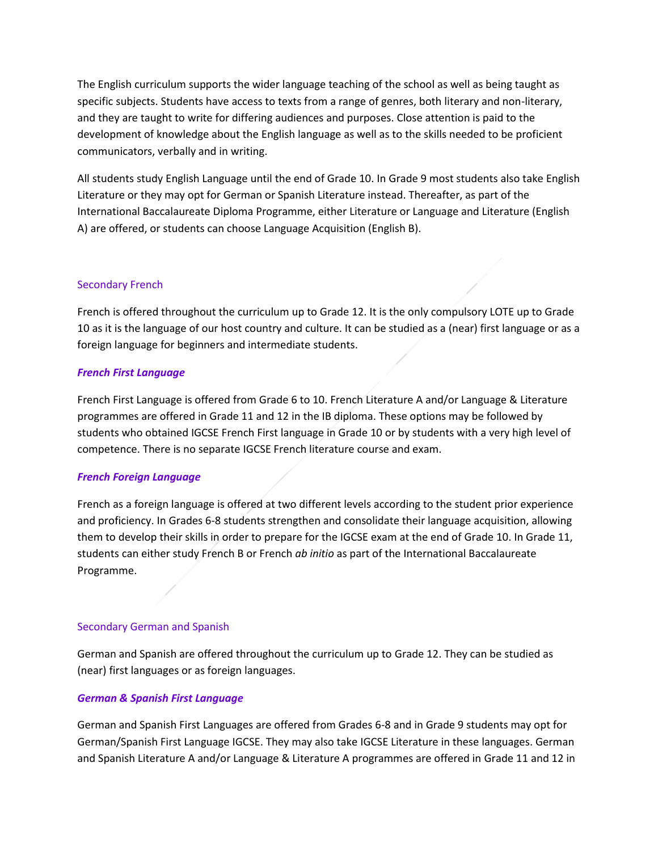The English curriculum supports the wider language teaching of the school as well as being taught as specific subjects. Students have access to texts from a range of genres, both literary and non-literary, and they are taught to write for differing audiences and purposes. Close attention is paid to the development of knowledge about the English language as well as to the skills needed to be proficient communicators, verbally and in writing.

All students study English Language until the end of Grade 10. In Grade 9 most students also take English Literature or they may opt for German or Spanish Literature instead. Thereafter, as part of the International Baccalaureate Diploma Programme, either Literature or Language and Literature (English A) are offered, or students can choose Language Acquisition (English B).

# Secondary French

French is offered throughout the curriculum up to Grade 12. It is the only compulsory LOTE up to Grade 10 as it is the language of our host country and culture. It can be studied as a (near) first language or as a foreign language for beginners and intermediate students.

## *French First Language*

French First Language is offered from Grade 6 to 10. French Literature A and/or Language & Literature programmes are offered in Grade 11 and 12 in the IB diploma. These options may be followed by students who obtained IGCSE French First language in Grade 10 or by students with a very high level of competence. There is no separate IGCSE French literature course and exam.

## *French Foreign Language*

French as a foreign language is offered at two different levels according to the student prior experience and proficiency. In Grades 6-8 students strengthen and consolidate their language acquisition, allowing them to develop their skills in order to prepare for the IGCSE exam at the end of Grade 10. In Grade 11, students can either study French B or French *ab initio* as part of the International Baccalaureate Programme.

## Secondary German and Spanish

German and Spanish are offered throughout the curriculum up to Grade 12. They can be studied as (near) first languages or as foreign languages.

# *German & Spanish First Language*

German and Spanish First Languages are offered from Grades 6-8 and in Grade 9 students may opt for German/Spanish First Language IGCSE. They may also take IGCSE Literature in these languages. German and Spanish Literature A and/or Language & Literature A programmes are offered in Grade 11 and 12 in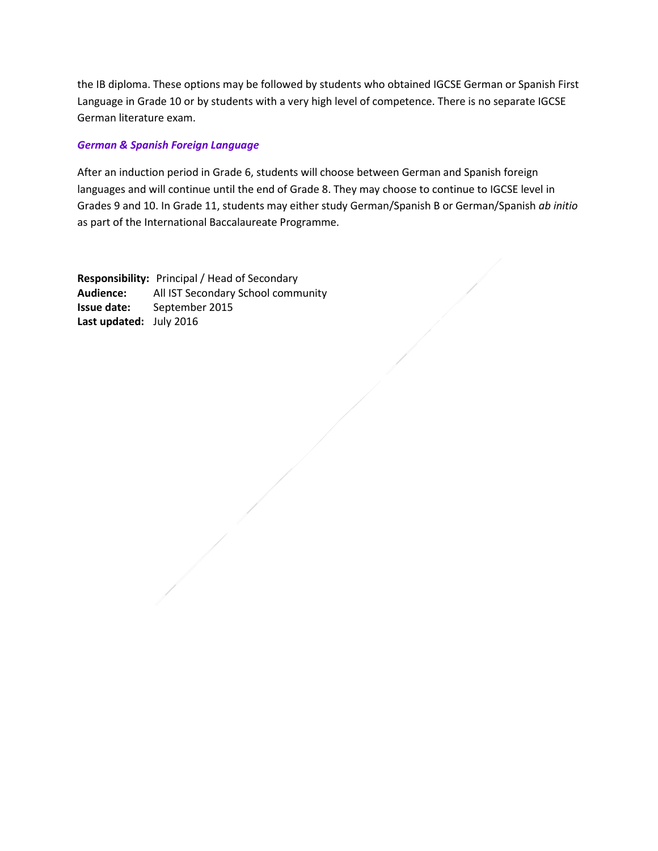the IB diploma. These options may be followed by students who obtained IGCSE German or Spanish First Language in Grade 10 or by students with a very high level of competence. There is no separate IGCSE German literature exam.

## *German & Spanish Foreign Language*

After an induction period in Grade 6, students will choose between German and Spanish foreign languages and will continue until the end of Grade 8. They may choose to continue to IGCSE level in Grades 9 and 10. In Grade 11, students may either study German/Spanish B or German/Spanish *ab initio* as part of the International Baccalaureate Programme.

**Responsibility:** Principal / Head of Secondary **Audience:** All IST Secondary School community **Issue date:** September 2015 **Last updated:** July 2016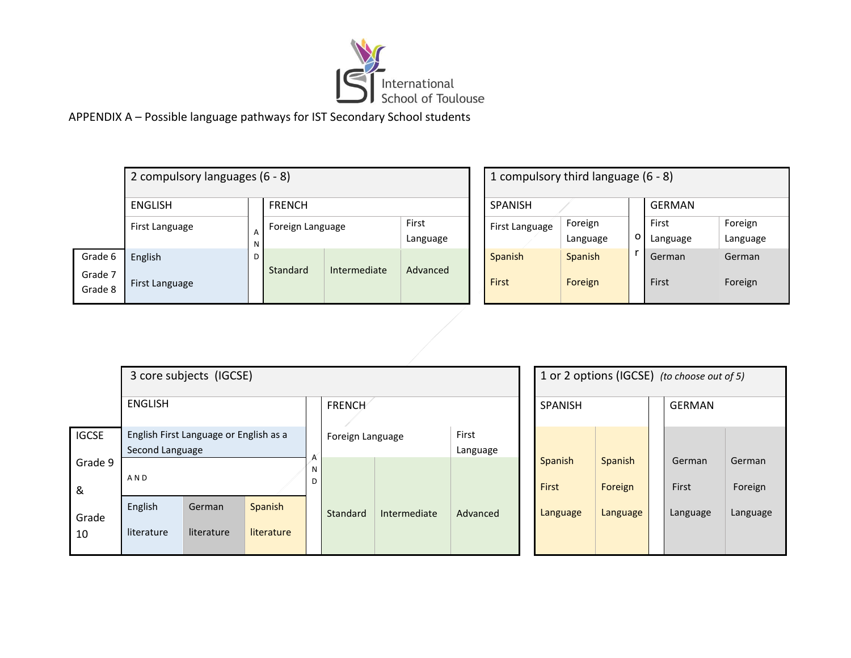

| 2 compulsory languages (6 - 8) |                       |        |                  |              |                   |  | 1 compulsory third language (6 - 8) |                     |   |                |
|--------------------------------|-----------------------|--------|------------------|--------------|-------------------|--|-------------------------------------|---------------------|---|----------------|
|                                | ENGLISH               |        | <b>FRENCH</b>    |              |                   |  | <b>SPANISH</b>                      |                     |   | <b>GERI</b>    |
|                                | First Language        | A<br>N | Foreign Language |              | First<br>Language |  | First Language                      | Foreign<br>Language | o | First<br>Langu |
| Grade 6<br>Grade 7             | English               | D      | Standard         | Intermediate | Advanced          |  | <b>Spanish</b>                      | <b>Spanish</b>      |   | Germ           |
| Grade 8                        | <b>First Language</b> |        |                  |              |                   |  | First                               | Foreign             |   | First          |

| 1 compulsory third language (6 - 8)   |   |                   |                     |  |  |  |  |  |
|---------------------------------------|---|-------------------|---------------------|--|--|--|--|--|
| <b>SPANISH</b>                        |   | <b>GERMAN</b>     |                     |  |  |  |  |  |
| Foreign<br>First Language<br>Language | O | First<br>Language | Foreign<br>Language |  |  |  |  |  |
| <b>Spanish</b><br><b>Spanish</b>      |   | German            | German              |  |  |  |  |  |
| First<br>Foreign                      |   | First             | Foreign             |  |  |  |  |  |

|              |                       | 3 core subjects (IGCSE)                |                       |        |                  |              |          |                  |                    | 1 or 2 options (IGCSE) (to choose out of 5) |          |
|--------------|-----------------------|----------------------------------------|-----------------------|--------|------------------|--------------|----------|------------------|--------------------|---------------------------------------------|----------|
|              | <b>ENGLISH</b>        |                                        |                       |        | FRENCH           |              |          | <b>SPANISH</b>   |                    | <b>GERMAN</b>                               |          |
| <b>IGCSE</b> |                       | English First Language or English as a |                       |        | Foreign Language |              | First    |                  |                    |                                             |          |
|              | Second Language       |                                        |                       |        |                  |              | Language |                  |                    |                                             |          |
| Grade 9<br>& | AND                   |                                        |                       | Ν<br>D |                  |              |          | Spanish<br>First | Spanish<br>Foreign | German<br>First                             | Ge<br>Fo |
| Grade<br>10  | English<br>literature | German<br>literature                   | Spanish<br>literature |        | Standard         | Intermediate | Advanced | Language         | Language           | Language                                    | Lar      |

| 1 or 2 options (IGCSE) (to choose out of 5) |                           |  |                 |                   |  |  |  |
|---------------------------------------------|---------------------------|--|-----------------|-------------------|--|--|--|
| <b>SPANISH</b>                              |                           |  | <b>GERMAN</b>   |                   |  |  |  |
| Spanish<br>First                            | <b>Spanish</b><br>Foreign |  | German<br>First | German<br>Foreign |  |  |  |
| Language                                    | Language                  |  | Language        | Language          |  |  |  |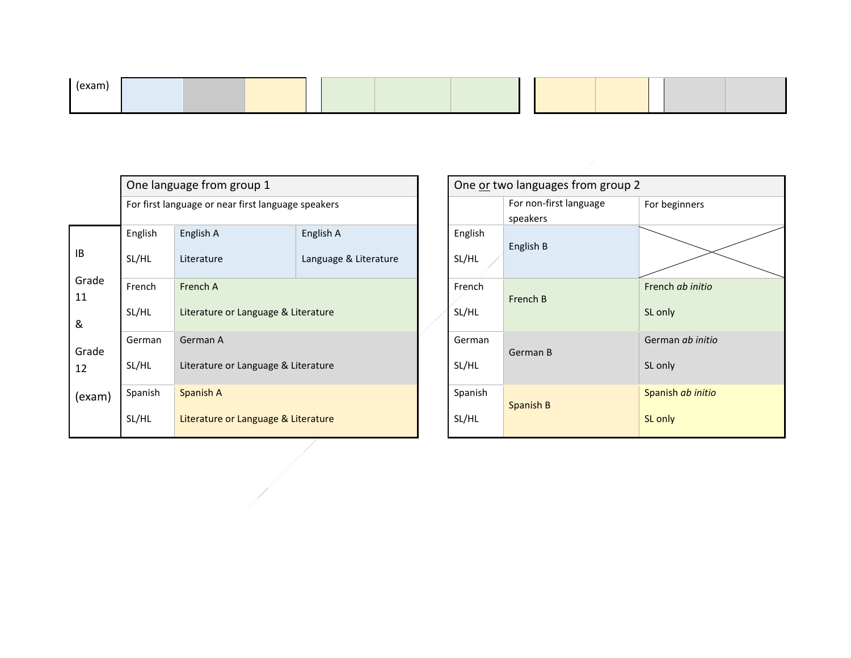| (exam |  |  |  |
|-------|--|--|--|
|       |  |  |  |

|                  |                  | One language from group 1                          |                                     |  | One or two languages from group 2 |                                    |
|------------------|------------------|----------------------------------------------------|-------------------------------------|--|-----------------------------------|------------------------------------|
|                  |                  | For first language or near first language speakers |                                     |  |                                   | For non-first language<br>speakers |
| IB               | English<br>SL/HL | English A<br>Literature                            | English A<br>Language & Literature  |  | English<br>SL/HL                  | English B                          |
| Grade<br>11<br>& | French<br>SL/HL  | French A<br>Literature or Language & Literature    |                                     |  | French<br>SL/HL                   | French B                           |
| Grade<br>12      | German<br>SL/HL  | German A                                           | Literature or Language & Literature |  |                                   | German B                           |
| (exam)           | Spanish<br>SL/HL | Spanish A<br>Literature or Language & Literature   |                                     |  | Spanish<br>SL/HL                  | Spanish B                          |

|                  | One or two languages from group 2  |                                    |  |  |  |  |
|------------------|------------------------------------|------------------------------------|--|--|--|--|
|                  | For non-first language<br>speakers | For beginners                      |  |  |  |  |
| English<br>SL/HL | English B                          |                                    |  |  |  |  |
| French<br>SL/HL  | French B                           | French ab initio<br>SL only        |  |  |  |  |
| German<br>SL/HL  | German B                           | German <i>ab initio</i><br>SL only |  |  |  |  |
| Spanish<br>SL/HL | Spanish B                          | Spanish ab initio<br>SL only       |  |  |  |  |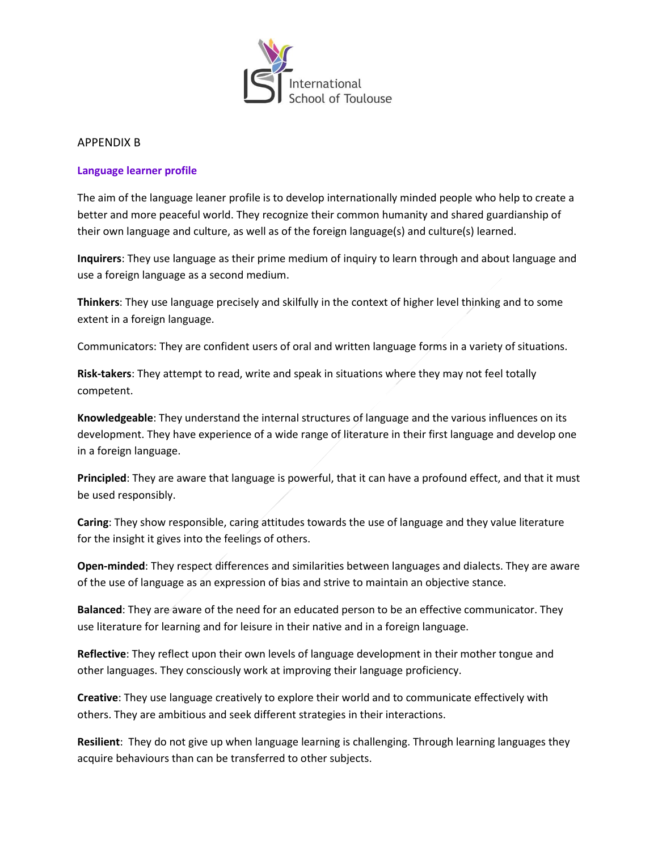

#### APPENDIX B

## **Language learner profile**

The aim of the language leaner profile is to develop internationally minded people who help to create a better and more peaceful world. They recognize their common humanity and shared guardianship of their own language and culture, as well as of the foreign language(s) and culture(s) learned.

**Inquirers**: They use language as their prime medium of inquiry to learn through and about language and use a foreign language as a second medium.

**Thinkers**: They use language precisely and skilfully in the context of higher level thinking and to some extent in a foreign language.

Communicators: They are confident users of oral and written language forms in a variety of situations.

**Risk-takers**: They attempt to read, write and speak in situations where they may not feel totally competent.

**Knowledgeable**: They understand the internal structures of language and the various influences on its development. They have experience of a wide range of literature in their first language and develop one in a foreign language.

**Principled**: They are aware that language is powerful, that it can have a profound effect, and that it must be used responsibly.

**Caring**: They show responsible, caring attitudes towards the use of language and they value literature for the insight it gives into the feelings of others.

**Open-minded**: They respect differences and similarities between languages and dialects. They are aware of the use of language as an expression of bias and strive to maintain an objective stance.

**Balanced**: They are aware of the need for an educated person to be an effective communicator. They use literature for learning and for leisure in their native and in a foreign language.

**Reflective**: They reflect upon their own levels of language development in their mother tongue and other languages. They consciously work at improving their language proficiency.

**Creative**: They use language creatively to explore their world and to communicate effectively with others. They are ambitious and seek different strategies in their interactions.

**Resilient**: They do not give up when language learning is challenging. Through learning languages they acquire behaviours than can be transferred to other subjects.